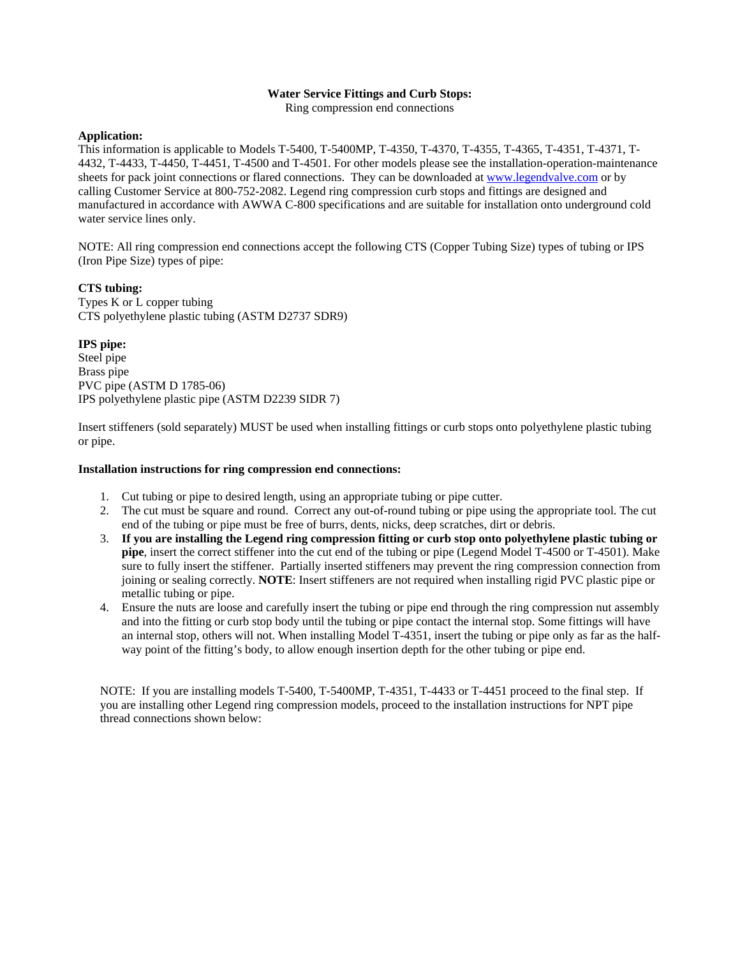### **Water Service Fittings and Curb Stops:**

Ring compression end connections

### **Application:**

This information is applicable to Models T-5400, T-5400MP, T-4350, T-4370, T-4355, T-4365, T-4351, T-4371, T-4432, T-4433, T-4450, T-4451, T-4500 and T-4501. For other models please see the installation-operation-maintenance sheets for pack joint connections or flared connections. They can be downloaded at [www.legendvalve.com](http://www.legendvalve.com/) or by calling Customer Service at 800-752-2082. Legend ring compression curb stops and fittings are designed and manufactured in accordance with AWWA C-800 specifications and are suitable for installation onto underground cold water service lines only.

NOTE: All ring compression end connections accept the following CTS (Copper Tubing Size) types of tubing or IPS (Iron Pipe Size) types of pipe:

# **CTS tubing:**

Types K or L copper tubing CTS polyethylene plastic tubing (ASTM D2737 SDR9)

# **IPS pipe:**

Steel pipe Brass pipe PVC pipe (ASTM D 1785-06) IPS polyethylene plastic pipe (ASTM D2239 SIDR 7)

Insert stiffeners (sold separately) MUST be used when installing fittings or curb stops onto polyethylene plastic tubing or pipe.

#### **Installation instructions for ring compression end connections:**

- 1. Cut tubing or pipe to desired length, using an appropriate tubing or pipe cutter.
- 2. The cut must be square and round. Correct any out-of-round tubing or pipe using the appropriate tool. The cut end of the tubing or pipe must be free of burrs, dents, nicks, deep scratches, dirt or debris.
- 3. **If you are installing the Legend ring compression fitting or curb stop onto polyethylene plastic tubing or pipe**, insert the correct stiffener into the cut end of the tubing or pipe (Legend Model T-4500 or T-4501). Make sure to fully insert the stiffener. Partially inserted stiffeners may prevent the ring compression connection from joining or sealing correctly. **NOTE**: Insert stiffeners are not required when installing rigid PVC plastic pipe or metallic tubing or pipe.
- 4. Ensure the nuts are loose and carefully insert the tubing or pipe end through the ring compression nut assembly and into the fitting or curb stop body until the tubing or pipe contact the internal stop. Some fittings will have an internal stop, others will not. When installing Model T-4351, insert the tubing or pipe only as far as the halfway point of the fitting's body, to allow enough insertion depth for the other tubing or pipe end.

NOTE: If you are installing models T-5400, T-5400MP, T-4351, T-4433 or T-4451 proceed to the final step. If you are installing other Legend ring compression models, proceed to the installation instructions for NPT pipe thread connections shown below: